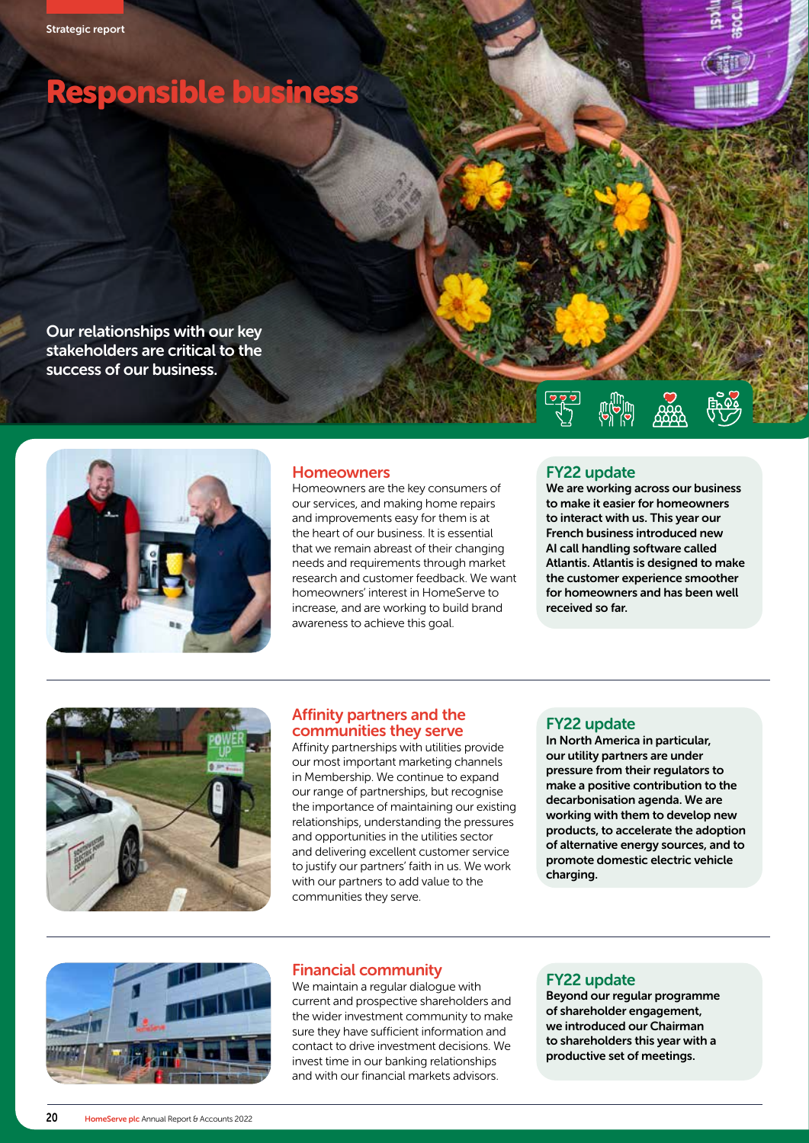# Responsible business

Our relationships with our key stakeholders are critical to the success of our business.



#### **Homeowners**

Homeowners are the key consumers of our services, and making home repairs and improvements easy for them is at the heart of our business. It is essential that we remain abreast of their changing needs and requirements through market research and customer feedback. We want homeowners' interest in HomeServe to increase, and are working to build brand awareness to achieve this goal.

#### FY22 update

We are working across our business to make it easier for homeowners to interact with us. This year our French business introduced new AI call handling software called Atlantis. Atlantis is designed to make the customer experience smoother for homeowners and has been well received so far.



#### Affinity partners and the communities they serve

Affinity partnerships with utilities provide our most important marketing channels in Membership. We continue to expand our range of partnerships, but recognise the importance of maintaining our existing relationships, understanding the pressures and opportunities in the utilities sector and delivering excellent customer service to justify our partners' faith in us. We work with our partners to add value to the communities they serve.

#### FY22 update

In North America in particular, our utility partners are under pressure from their regulators to make a positive contribution to the decarbonisation agenda. We are working with them to develop new products, to accelerate the adoption of alternative energy sources, and to promote domestic electric vehicle charging.



## Financial community

We maintain a regular dialogue with current and prospective shareholders and the wider investment community to make sure they have sufficient information and contact to drive investment decisions. We invest time in our banking relationships and with our financial markets advisors.

#### FY22 update

Beyond our regular programme of shareholder engagement, we introduced our Chairman to shareholders this year with a productive set of meetings.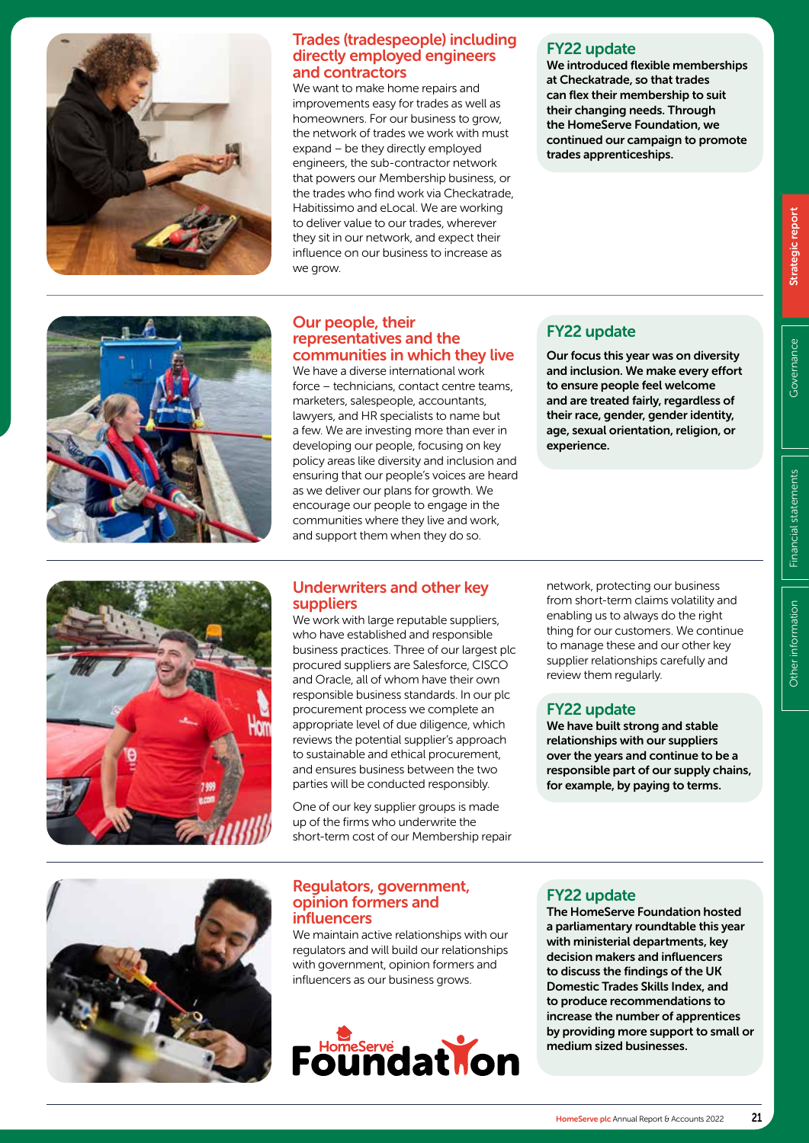

# directly employed engineers and contractors

Trades (tradespeople) including<br>
or FY22 update<br>
or directly employed engineers<br>
We introduced flexible memberships<br>
and contractors<br>
we want to make home repairs and<br>
improvements easy for trades as well as<br>
improvements We want to make home repairs and improvements easy for trades as well as homeowners. For our business to grow, the network of trades we work with must expand – be they directly employed engineers, the sub-contractor network that powers our Membership business, or the trades who find work via Checkatrade, Habitissimo and eLocal. We are working to deliver value to our trades, wherever they sit in our network, and expect their influence on our business to increase as we grow.

# FY22 update

We introduced flexible memberships at Checkatrade, so that trades can flex their membership to suit their changing needs. Through the HomeServe Foundation, we continued our campaign to promote trades apprenticeships.



### Our people, their representatives and the communities in which they live

We have a diverse international work force – technicians, contact centre teams, marketers, salespeople, accountants, lawyers, and HR specialists to name but a few. We are investing more than ever in developing our people, focusing on key policy areas like diversity and inclusion and ensuring that our people's voices are heard as we deliver our plans for growth. We encourage our people to engage in the communities where they live and work, and support them when they do so.

# FY22 update

Our focus this year was on diversity and inclusion. We make every effort to ensure people feel welcome and are treated fairly, regardless of their race, gender, gender identity, age, sexual orientation, religion, or experience.



# Underwriters and other key suppliers

We work with large reputable suppliers. who have established and responsible business practices. Three of our largest plc procured suppliers are Salesforce, CISCO and Oracle, all of whom have their own responsible business standards. In our plc procurement process we complete an appropriate level of due diligence, which reviews the potential supplier's approach to sustainable and ethical procurement, and ensures business between the two parties will be conducted responsibly.

One of our key supplier groups is made up of the firms who underwrite the short-term cost of our Membership repair network, protecting our business from short-term claims volatility and enabling us to always do the right thing for our customers. We continue to manage these and our other key supplier relationships carefully and review them regularly.

# FY22 update

We have built strong and stable relationships with our suppliers over the years and continue to be a responsible part of our supply chains, for example, by paying to terms.



### Regulators, government, opinion formers and influencers

We maintain active relationships with our regulators and will build our relationships with government, opinion formers and influencers as our business grows.



# FY22 update

The HomeServe Foundation hosted a parliamentary roundtable this year with ministerial departments, key decision makers and influencers to discuss the findings of the UK Domestic Trades Skills Index, and to produce recommendations to increase the number of apprentices by providing more support to small or medium sized businesses.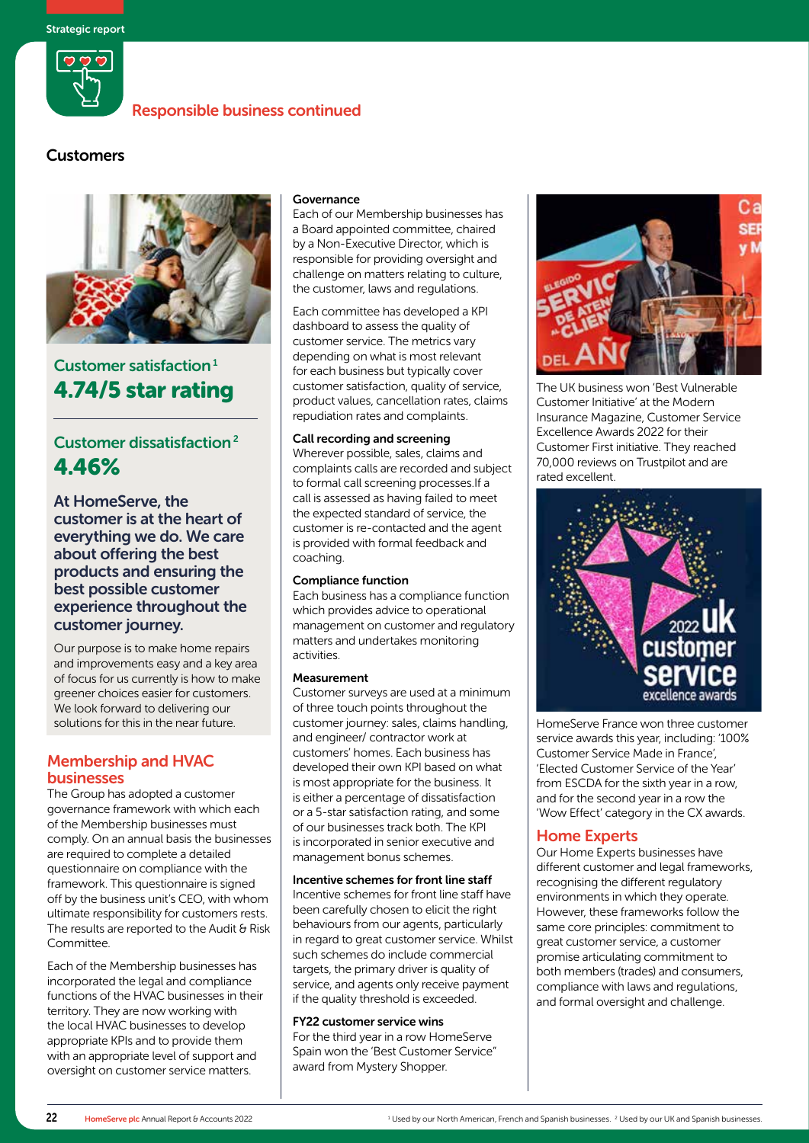

# **Customers**



# Customer satisfaction<sup>1</sup> 4.74/5 star rating

# Customer dissatisfaction 2 4.46%

At HomeServe, the customer is at the heart of everything we do. We care about offering the best products and ensuring the best possible customer experience throughout the customer journey.

Our purpose is to make home repairs and improvements easy and a key area of focus for us currently is how to make greener choices easier for customers. We look forward to delivering our solutions for this in the near future.

# Membership and HVAC businesses

The Group has adopted a customer governance framework with which each of the Membership businesses must comply. On an annual basis the businesses are required to complete a detailed questionnaire on compliance with the framework. This questionnaire is signed off by the business unit's CEO, with whom ultimate responsibility for customers rests. The results are reported to the Audit & Risk Committee.

Each of the Membership businesses has incorporated the legal and compliance functions of the HVAC businesses in their territory. They are now working with the local HVAC businesses to develop appropriate KPIs and to provide them with an appropriate level of support and oversight on customer service matters.

#### Governance

Each of our Membership businesses has a Board appointed committee, chaired by a Non-Executive Director, which is responsible for providing oversight and challenge on matters relating to culture, the customer, laws and regulations.

Each committee has developed a KPI dashboard to assess the quality of customer service. The metrics vary depending on what is most relevant for each business but typically cover customer satisfaction, quality of service, product values, cancellation rates, claims repudiation rates and complaints.

#### Call recording and screening

Wherever possible, sales, claims and complaints calls are recorded and subject to formal call screening processes.If a call is assessed as having failed to meet the expected standard of service, the customer is re-contacted and the agent is provided with formal feedback and coaching.

#### Compliance function

Each business has a compliance function which provides advice to operational management on customer and regulatory matters and undertakes monitoring activities.

#### Measurement

Customer surveys are used at a minimum of three touch points throughout the customer journey: sales, claims handling, and engineer/ contractor work at customers' homes. Each business has developed their own KPI based on what is most appropriate for the business. It is either a percentage of dissatisfaction or a 5-star satisfaction rating, and some of our businesses track both. The KPI is incorporated in senior executive and management bonus schemes.

#### Incentive schemes for front line staff

Incentive schemes for front line staff have been carefully chosen to elicit the right behaviours from our agents, particularly in regard to great customer service. Whilst such schemes do include commercial targets, the primary driver is quality of service, and agents only receive payment if the quality threshold is exceeded.

#### FY22 customer service wins

For the third year in a row HomeServe Spain won the 'Best Customer Service" award from Mystery Shopper.



The UK business won 'Best Vulnerable Customer Initiative' at the Modern Insurance Magazine, Customer Service Excellence Awards 2022 for their Customer First initiative. They reached 70,000 reviews on Trustpilot and are rated excellent.



HomeServe France won three customer service awards this year, including: '100% Customer Service Made in France', 'Elected Customer Service of the Year' from ESCDA for the sixth year in a row, and for the second year in a row the 'Wow Effect' category in the CX awards.

#### Home Experts

Our Home Experts businesses have different customer and legal frameworks, recognising the different regulatory environments in which they operate. However, these frameworks follow the same core principles: commitment to great customer service, a customer promise articulating commitment to both members (trades) and consumers, compliance with laws and regulations, and formal oversight and challenge.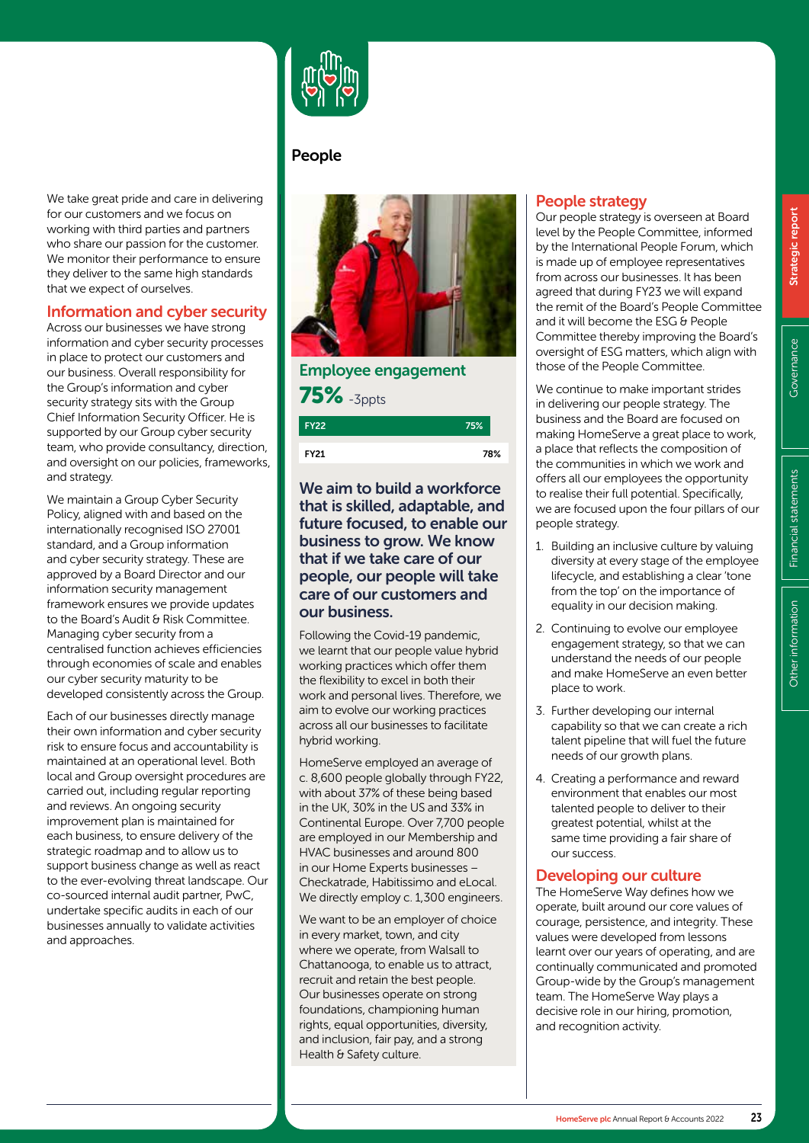HomeServe plc Annual Report & Accounts 2022 23

We take great pride and care in delivering for our customers and we focus on working with third parties and partners who share our passion for the customer. We monitor their performance to ensure they deliver to the same high standards that we expect of ourselves.

# Information and cyber security

Across our businesses we have strong information and cyber security processes in place to protect our customers and our business. Overall responsibility for the Group's information and cyber security strategy sits with the Group Chief Information Security Officer. He is supported by our Group cyber security team, who provide consultancy, direction, and oversight on our policies, frameworks, and strategy.

We maintain a Group Cyber Security Policy, aligned with and based on the internationally recognised ISO 27001 standard, and a Group information and cyber security strategy. These are approved by a Board Director and our information security management framework ensures we provide updates to the Board's Audit & Risk Committee. Managing cyber security from a centralised function achieves efficiencies through economies of scale and enables our cyber security maturity to be developed consistently across the Group.

Each of our businesses directly manage their own information and cyber security risk to ensure focus and accountability is maintained at an operational level. Both local and Group oversight procedures are carried out, including regular reporting and reviews. An ongoing security improvement plan is maintained for each business, to ensure delivery of the strategic roadmap and to allow us to support business change as well as react to the ever-evolving threat landscape. Our co-sourced internal audit partner, PwC, undertake specific audits in each of our businesses annually to validate activities and approaches.



# People



Employee engagement 75% -3ppts 75% FY22

FY21

78%

# We aim to build a workforce that is skilled, adaptable, and future focused, to enable our business to grow. We know that if we take care of our people, our people will take care of our customers and our business.

Following the Covid-19 pandemic, we learnt that our people value hybrid working practices which offer them the flexibility to excel in both their work and personal lives. Therefore, we aim to evolve our working practices across all our businesses to facilitate hybrid working.

HomeServe employed an average of c. 8,600 people globally through FY22, with about 37% of these being based in the UK, 30% in the US and 33% in Continental Europe. Over 7,700 people are employed in our Membership and HVAC businesses and around 800 in our Home Experts businesses – Checkatrade, Habitissimo and eLocal. We directly employ c. 1,300 engineers.

We want to be an employer of choice in every market, town, and city where we operate, from Walsall to Chattanooga, to enable us to attract, recruit and retain the best people. Our businesses operate on strong foundations, championing human rights, equal opportunities, diversity, and inclusion, fair pay, and a strong Health & Safety culture.

# People strategy

Our people strategy is overseen at Board level by the People Committee, informed by the International People Forum, which is made up of employee representatives from across our businesses. It has been agreed that during FY23 we will expand the remit of the Board's People Committee and it will become the ESG & People Committee thereby improving the Board's oversight of ESG matters, which align with those of the People Committee.

We continue to make important strides in delivering our people strategy. The business and the Board are focused on making HomeServe a great place to work, a place that reflects the composition of the communities in which we work and offers all our employees the opportunity to realise their full potential. Specifically, we are focused upon the four pillars of our people strategy.

- 1. Building an inclusive culture by valuing diversity at every stage of the employee lifecycle, and establishing a clear 'tone from the top' on the importance of equality in our decision making.
- 2. Continuing to evolve our employee engagement strategy, so that we can understand the needs of our people and make HomeServe an even better place to work.
- 3. Further developing our internal capability so that we can create a rich talent pipeline that will fuel the future needs of our growth plans.
- 4. Creating a performance and reward environment that enables our most talented people to deliver to their greatest potential, whilst at the same time providing a fair share of our success.

# Developing our culture

The HomeServe Way defines how we operate, built around our core values of courage, persistence, and integrity. These values were developed from lessons learnt over our years of operating, and are continually communicated and promoted Group-wide by the Group's management team. The HomeServe Way plays a decisive role in our hiring, promotion, and recognition activity.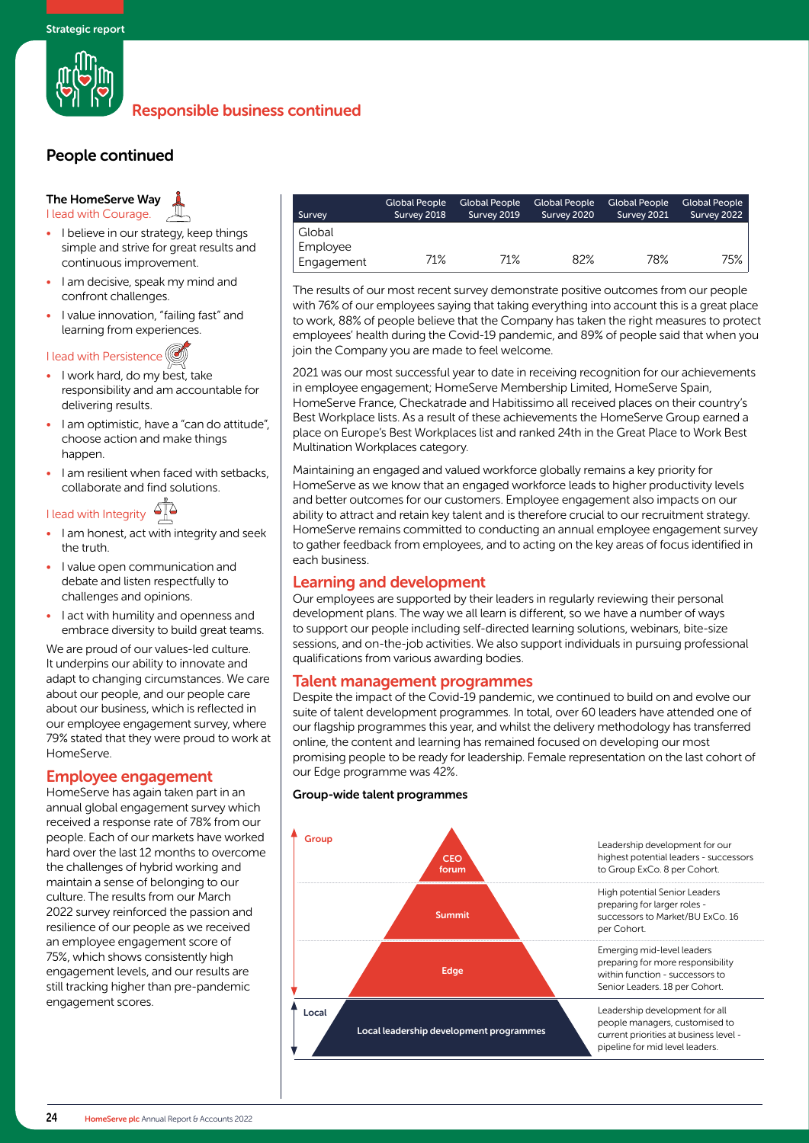

# People continued

# The HomeServe Way

I lead with Courage.

- I believe in our strategy, keep things simple and strive for great results and continuous improvement.
- I am decisive, speak my mind and confront challenges.
- I value innovation, "failing fast" and learning from experiences.

#### I lead with Persistence

- I work hard, do my best, take responsibility and am accountable for delivering results.
- I am optimistic, have a "can do attitude", choose action and make things happen.
- I am resilient when faced with setbacks, collaborate and find solutions.

# I lead with Integrity

- I am honest, act with integrity and seek the truth.
- I value open communication and debate and listen respectfully to challenges and opinions.
- I act with humility and openness and embrace diversity to build great teams.

We are proud of our values-led culture. It underpins our ability to innovate and adapt to changing circumstances. We care about our people, and our people care about our business, which is reflected in our employee engagement survey, where 79% stated that they were proud to work at HomeServe.

## Employee engagement

HomeServe has again taken part in an annual global engagement survey which received a response rate of 78% from our people. Each of our markets have worked hard over the last 12 months to overcome the challenges of hybrid working and maintain a sense of belonging to our culture. The results from our March 2022 survey reinforced the passion and resilience of our people as we received an employee engagement score of 75%, which shows consistently high engagement levels, and our results are still tracking higher than pre-pandemic engagement scores.

| Survey     | Global People<br>Survey 2018 | Global People<br>Survey 2019 | <b>Global People</b><br>Survey 2020 | <b>Global People</b><br>Survey 2021 | <b>Global People</b><br>Survey 2022 |
|------------|------------------------------|------------------------------|-------------------------------------|-------------------------------------|-------------------------------------|
| Global     |                              |                              |                                     |                                     |                                     |
| Employee   |                              |                              |                                     |                                     |                                     |
| Engagement | 71%                          | 71%                          | 82%                                 | 78%                                 | 75%                                 |

The results of our most recent survey demonstrate positive outcomes from our people with 76% of our employees saying that taking everything into account this is a great place to work, 88% of people believe that the Company has taken the right measures to protect employees' health during the Covid-19 pandemic, and 89% of people said that when you join the Company you are made to feel welcome.

2021 was our most successful year to date in receiving recognition for our achievements in employee engagement; HomeServe Membership Limited, HomeServe Spain, HomeServe France, Checkatrade and Habitissimo all received places on their country's Best Workplace lists. As a result of these achievements the HomeServe Group earned a place on Europe's Best Workplaces list and ranked 24th in the Great Place to Work Best Multination Workplaces category.

Maintaining an engaged and valued workforce globally remains a key priority for HomeServe as we know that an engaged workforce leads to higher productivity levels and better outcomes for our customers. Employee engagement also impacts on our ability to attract and retain key talent and is therefore crucial to our recruitment strategy. HomeServe remains committed to conducting an annual employee engagement survey to gather feedback from employees, and to acting on the key areas of focus identified in each business.

## Learning and development

Our employees are supported by their leaders in regularly reviewing their personal development plans. The way we all learn is different, so we have a number of ways to support our people including self-directed learning solutions, webinars, bite-size sessions, and on-the-job activities. We also support individuals in pursuing professional qualifications from various awarding bodies.

#### Talent management programmes

Despite the impact of the Covid-19 pandemic, we continued to build on and evolve our suite of talent development programmes. In total, over 60 leaders have attended one of our flagship programmes this year, and whilst the delivery methodology has transferred online, the content and learning has remained focused on developing our most promising people to be ready for leadership. Female representation on the last cohort of our Edge programme was 42%.

#### Group-wide talent programmes

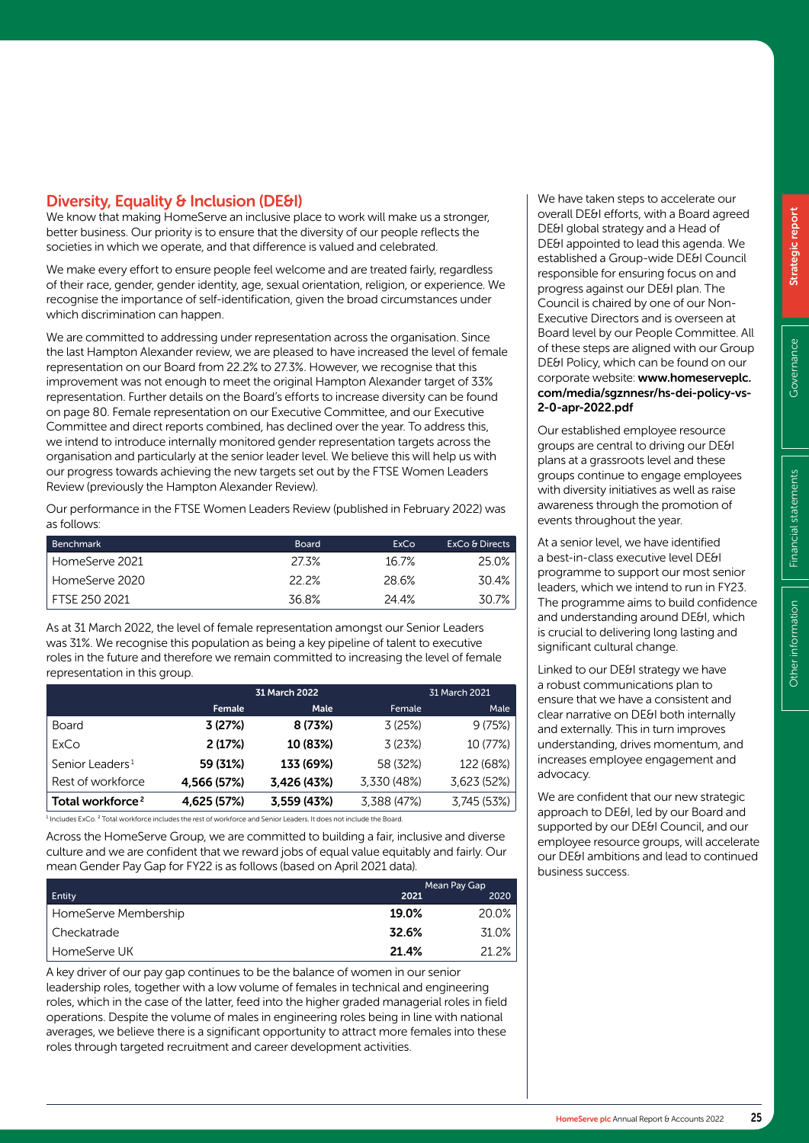# Diversity, Equality & Inclusion (DE&I)

We know that making HomeServe an inclusive place to work will make us a stronger, better business. Our priority is to ensure that the diversity of our people reflects the societies in which we operate, and that difference is valued and celebrated.

We make every effort to ensure people feel welcome and are treated fairly, regardless of their race, gender, gender identity, age, sexual orientation, religion, or experience. We recognise the importance of self-identification, given the broad circumstances under which discrimination can happen.

We are committed to addressing under representation across the organisation. Since the last Hampton Alexander review, we are pleased to have increased the level of female representation on our Board from 22.2% to 27.3%. However, we recognise that this improvement was not enough to meet the original Hampton Alexander target of 33% representation. Further details on the Board's efforts to increase diversity can be found on page 80. Female representation on our Executive Committee, and our Executive Committee and direct reports combined, has declined over the year. To address this, we intend to introduce internally monitored gender representation targets across the organisation and particularly at the senior leader level. We believe this will help us with our progress towards achieving the new targets set out by the FTSE Women Leaders Review (previously the Hampton Alexander Review).

Our performance in the FTSE Women Leaders Review (published in February 2022) was as follows:

| <b>Benchmark</b> | <b>Board</b> | ExCo  | ExCo & Directs |
|------------------|--------------|-------|----------------|
| HomeServe 2021   | 27.3%        | 16.7% | 25.0%          |
| HomeServe 2020   | 22.2%        | 28.6% | 30.4%          |
| FTSF 250 2021    | 36.8%        | 24.4% | 30.7%          |

As at 31 March 2022, the level of female representation amongst our Senior Leaders was 31%. We recognise this population as being a key pipeline of talent to executive roles in the future and therefore we remain committed to increasing the level of female representation in this group.

|                              |             | 31 March 2022 |             | 31 March 2021 |
|------------------------------|-------------|---------------|-------------|---------------|
|                              | Female      | Male          | Female      | Male          |
| <b>Board</b>                 | 3(27%)      | 8 (73%)       | 3(25%)      | 9(75%)        |
| ExCo                         | 2(17%)      | 10 (83%)      | 3(23%)      | 10 (77%)      |
| Senior Leaders <sup>1</sup>  | 59 (31%)    | 133 (69%)     | 58 (32%)    | 122 (68%)     |
| Rest of workforce            | 4,566 (57%) | 3,426 (43%)   | 3.330 (48%) | 3.623 (52%)   |
| Total workforce <sup>2</sup> | 4,625 (57%) | 3,559 (43%)   | 3,388 (47%) | 3,745 (53%)   |

 $^1$  Includes ExCo.  $^2$  Total workforce includes the rest of workforce and Senior Leaders. It does not include the Board.

Across the HomeServe Group, we are committed to building a fair, inclusive and diverse culture and we are confident that we reward jobs of equal value equitably and fairly. Our mean Gender Pay Gap for FY22 is as follows (based on April 2021 data).

|                      |       | Mean Pay Gap |
|----------------------|-------|--------------|
| Entity               | 2021  | 2020         |
| HomeServe Membership | 19.0% | 20.0%        |
| Checkatrade          | 32.6% | 31.0%        |
| HomeServe UK         | 21.4% | 21.2%        |

A key driver of our pay gap continues to be the balance of women in our senior leadership roles, together with a low volume of females in technical and engineering roles, which in the case of the latter, feed into the higher graded managerial roles in field operations. Despite the volume of males in engineering roles being in line with national averages, we believe there is a significant opportunity to attract more females into these roles through targeted recruitment and career development activities.

We have taken steps to accelerate our overall DE&I efforts, with a Board agreed DE&I global strategy and a Head of DE&I appointed to lead this agenda. We established a Group-wide DE&I Council responsible for ensuring focus on and progress against our DE&I plan. The Council is chaired by one of our Non-Executive Directors and is overseen at Board level by our People Committee. All of these steps are aligned with our Group DE&I Policy, which can be found on our corporate website: www.homeserveplc. com/media/sgznnesr/hs-dei-policy-vs-2-0-apr-2022.pdf

Our established employee resource groups are central to driving our DE&I plans at a grassroots level and these groups continue to engage employees with diversity initiatives as well as raise awareness through the promotion of events throughout the year.

At a senior level, we have identified a best-in-class executive level DE&I programme to support our most senior leaders, which we intend to run in FY23. The programme aims to build confidence and understanding around DE&I, which is crucial to delivering long lasting and significant cultural change.

Linked to our DE&I strategy we have a robust communications plan to ensure that we have a consistent and clear narrative on DE&I both internally and externally. This in turn improves understanding, drives momentum, and increases employee engagement and advocacy.

We are confident that our new strategic approach to DE&I, led by our Board and supported by our DE&I Council, and our employee resource groups, will accelerate our DE&I ambitions and lead to continued business success.

Other information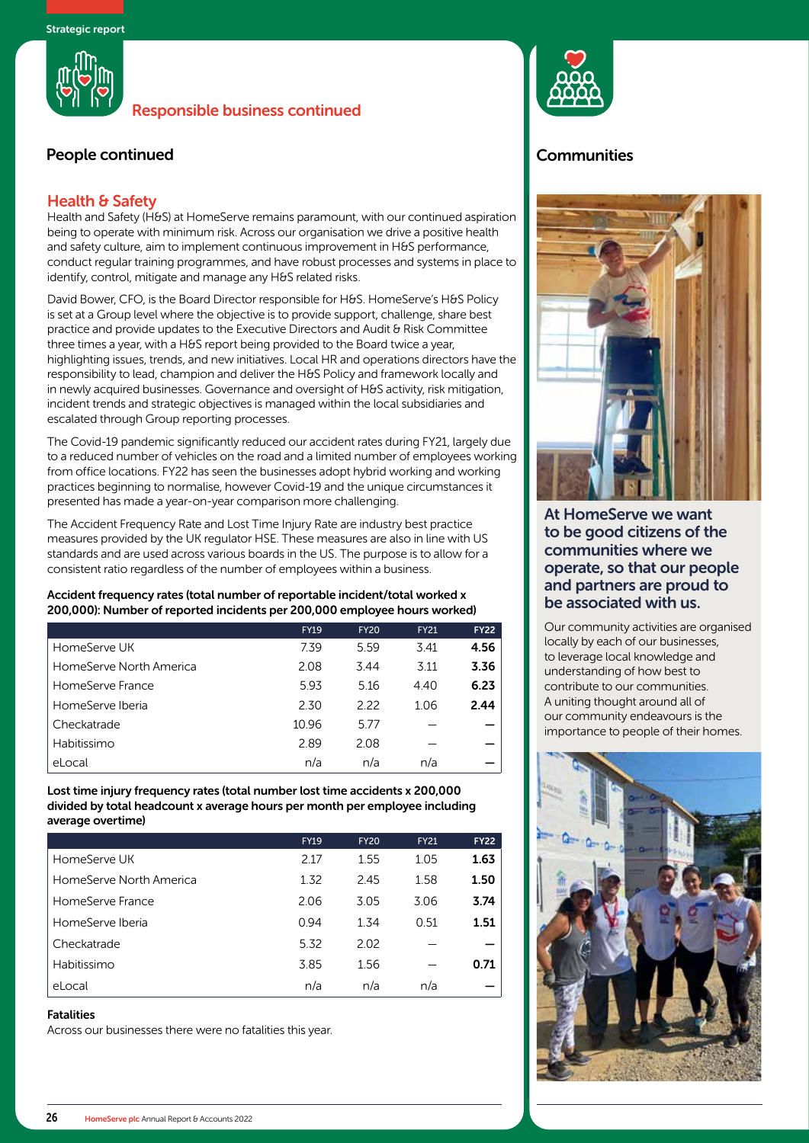

# People continued **Communities**

## Health & Safety

Health and Safety (H&S) at HomeServe remains paramount, with our continued aspiration being to operate with minimum risk. Across our organisation we drive a positive health and safety culture, aim to implement continuous improvement in H&S performance, conduct regular training programmes, and have robust processes and systems in place to identify, control, mitigate and manage any H&S related risks.

David Bower, CFO, is the Board Director responsible for H&S. HomeServe's H&S Policy is set at a Group level where the objective is to provide support, challenge, share best practice and provide updates to the Executive Directors and Audit & Risk Committee three times a year, with a H&S report being provided to the Board twice a year, highlighting issues, trends, and new initiatives. Local HR and operations directors have the responsibility to lead, champion and deliver the H&S Policy and framework locally and in newly acquired businesses. Governance and oversight of H&S activity, risk mitigation, incident trends and strategic objectives is managed within the local subsidiaries and escalated through Group reporting processes.

The Covid-19 pandemic significantly reduced our accident rates during FY21, largely due to a reduced number of vehicles on the road and a limited number of employees working from office locations. FY22 has seen the businesses adopt hybrid working and working practices beginning to normalise, however Covid-19 and the unique circumstances it presented has made a year-on-year comparison more challenging.

The Accident Frequency Rate and Lost Time Injury Rate are industry best practice measures provided by the UK regulator HSE. These measures are also in line with US standards and are used across various boards in the US. The purpose is to allow for a consistent ratio regardless of the number of employees within a business.

#### Accident frequency rates (total number of reportable incident/total worked x 200,000): Number of reported incidents per 200,000 employee hours worked)

|                         | <b>FY19</b> | <b>FY20</b> | <b>FY21</b> | <b>FY22</b> |
|-------------------------|-------------|-------------|-------------|-------------|
| HomeServe UK            | 7.39        | 5.59        | 3.41        | 4.56        |
| HomeServe North America | 2.08        | 3.44        | 3.11        | 3.36        |
| HomeServe France        | 5.93        | 5.16        | 4.40        | 6.23        |
| HomeServe Iberia        | 2.30        | 222         | 1.06        | 2.44        |
| Checkatrade             | 10.96       | 5.77        |             |             |
| Habitissimo             | 2.89        | 2.08        |             |             |
| eLocal                  | n/a         | n/a         | n/a         |             |

Lost time injury frequency rates (total number lost time accidents x 200,000 divided by total headcount x average hours per month per employee including average overtime)

|                         | <b>FY19</b> | <b>FY20</b> | <b>FY21</b> | <b>FY22</b> |
|-------------------------|-------------|-------------|-------------|-------------|
| HomeServe UK            | 2.17        | 1.55        | 1.05        | 1.63        |
| HomeServe North America | 1.32        | 2.45        | 1.58        | 1.50        |
| HomeServe France        | 2.06        | 3.05        | 3.06        | 3.74        |
| HomeServe Iberia        | 0.94        | 1.34        | 0.51        | 1.51        |
| Checkatrade             | 5.32        | 2.02        |             |             |
| Habitissimo             | 3.85        | 1.56        |             | 0.71        |
| eLocal                  | n/a         | n/a         | n/a         |             |

#### Fatalities

Across our businesses there were no fatalities this year.





At HomeServe we want to be good citizens of the communities where we operate, so that our people and partners are proud to be associated with us.

Our community activities are organised locally by each of our businesses, to leverage local knowledge and understanding of how best to contribute to our communities. A uniting thought around all of our community endeavours is the importance to people of their homes.

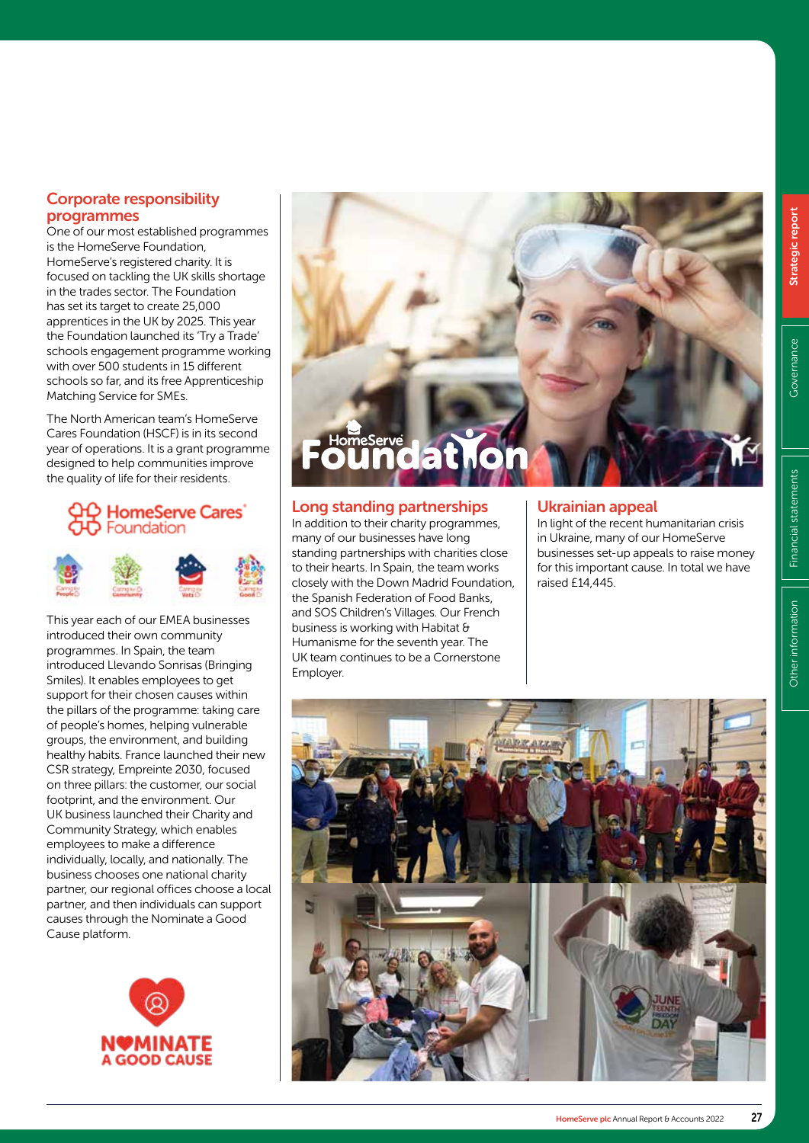# Corporate responsibility programmes

One of our most established programmes is the HomeServe Foundation, HomeServe's registered charity. It is focused on tackling the UK skills shortage in the trades sector. The Foundation has set its target to create 25,000 apprentices in the UK by 2025. This year the Foundation launched its 'Try a Trade' schools engagement programme working with over 500 students in 15 different schools so far, and its free Apprenticeship Matching Service for SMEs.

The North American team's HomeServe Cares Foundation (HSCF) is in its second year of operations. It is a grant programme designed to help communities improve the quality of life for their residents.

# **HomeServe Cares** Foundation



This year each of our EMEA businesses introduced their own community programmes. In Spain, the team introduced Llevando Sonrisas (Bringing Smiles). It enables employees to get support for their chosen causes within the pillars of the programme: taking care of people's homes, helping vulnerable groups, the environment, and building healthy habits. France launched their new CSR strategy, Empreinte 2030, focused on three pillars: the customer, our social footprint, and the environment. Our UK business launched their Charity and Community Strategy, which enables employees to make a difference individually, locally, and nationally. The business chooses one national charity partner, our regional offices choose a local partner, and then individuals can support causes through the Nominate a Good Cause platform.





# Long standing partnerships

In addition to their charity programmes, many of our businesses have long standing partnerships with charities close to their hearts. In Spain, the team works closely with the Down Madrid Foundation, the Spanish Federation of Food Banks, and SOS Children's Villages. Our French business is working with Habitat & Humanisme for the seventh year. The UK team continues to be a Cornerstone Employer.

## Ukrainian appeal

In light of the recent humanitarian crisis in Ukraine, many of our HomeServe businesses set-up appeals to raise money for this important cause. In total we have raised £14,445.

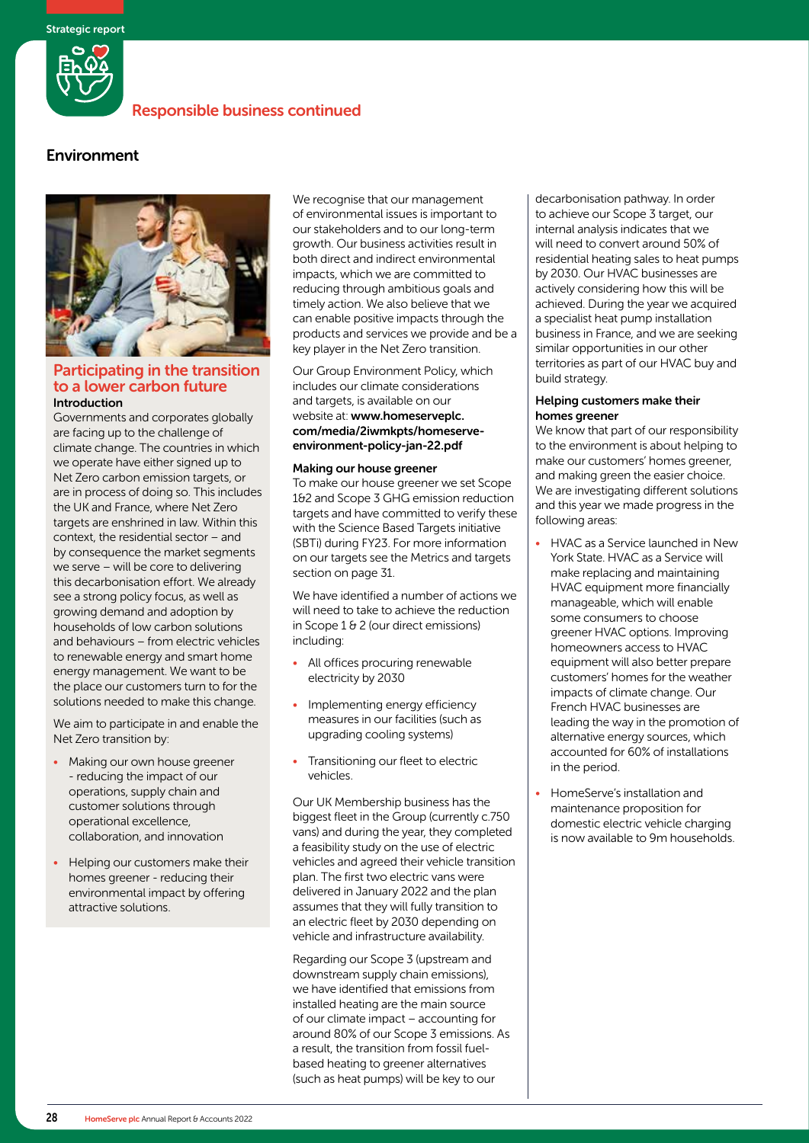

# Environment



#### Participating in the transition to a lower carbon future Introduction

Governments and corporates globally are facing up to the challenge of climate change. The countries in which we operate have either signed up to Net Zero carbon emission targets, or are in process of doing so. This includes the UK and France, where Net Zero targets are enshrined in law. Within this context, the residential sector – and by consequence the market segments we serve – will be core to delivering this decarbonisation effort. We already see a strong policy focus, as well as growing demand and adoption by households of low carbon solutions and behaviours – from electric vehicles to renewable energy and smart home energy management. We want to be the place our customers turn to for the solutions needed to make this change.

We aim to participate in and enable the Net Zero transition by:

- Making our own house greener - reducing the impact of our operations, supply chain and customer solutions through operational excellence, collaboration, and innovation
- Helping our customers make their homes greener - reducing their environmental impact by offering attractive solutions.

We recognise that our management of environmental issues is important to our stakeholders and to our long-term growth. Our business activities result in both direct and indirect environmental impacts, which we are committed to reducing through ambitious goals and timely action. We also believe that we can enable positive impacts through the products and services we provide and be a key player in the Net Zero transition.

Our Group Environment Policy, which includes our climate considerations and targets, is available on our website at: www.homeserveplc. com/media/2iwmkpts/homeserveenvironment-policy-jan-22.pdf

#### Making our house greener

To make our house greener we set Scope 1&2 and Scope 3 GHG emission reduction targets and have committed to verify these with the Science Based Targets initiative (SBTi) during FY23. For more information on our targets see the Metrics and targets section on page 31.

We have identified a number of actions we will need to take to achieve the reduction in Scope 1 & 2 (our direct emissions) including:

- All offices procuring renewable electricity by 2030
- Implementing energy efficiency measures in our facilities (such as upgrading cooling systems)
- Transitioning our fleet to electric vehicles.

Our UK Membership business has the biggest fleet in the Group (currently c.750 vans) and during the year, they completed a feasibility study on the use of electric vehicles and agreed their vehicle transition plan. The first two electric vans were delivered in January 2022 and the plan assumes that they will fully transition to an electric fleet by 2030 depending on vehicle and infrastructure availability.

Regarding our Scope 3 (upstream and downstream supply chain emissions), we have identified that emissions from installed heating are the main source of our climate impact – accounting for around 80% of our Scope 3 emissions. As a result, the transition from fossil fuelbased heating to greener alternatives (such as heat pumps) will be key to our

decarbonisation pathway. In order to achieve our Scope 3 target, our internal analysis indicates that we will need to convert around 50% of residential heating sales to heat pumps by 2030. Our HVAC businesses are actively considering how this will be achieved. During the year we acquired a specialist heat pump installation business in France, and we are seeking similar opportunities in our other territories as part of our HVAC buy and build strategy.

#### Helping customers make their homes greener

We know that part of our responsibility to the environment is about helping to make our customers' homes greener, and making green the easier choice. We are investigating different solutions and this year we made progress in the following areas:

- HVAC as a Service launched in New York State. HVAC as a Service will make replacing and maintaining HVAC equipment more financially manageable, which will enable some consumers to choose greener HVAC options. Improving homeowners access to HVAC equipment will also better prepare customers' homes for the weather impacts of climate change. Our French HVAC businesses are leading the way in the promotion of alternative energy sources, which accounted for 60% of installations in the period.
- HomeServe's installation and maintenance proposition for domestic electric vehicle charging is now available to 9m households.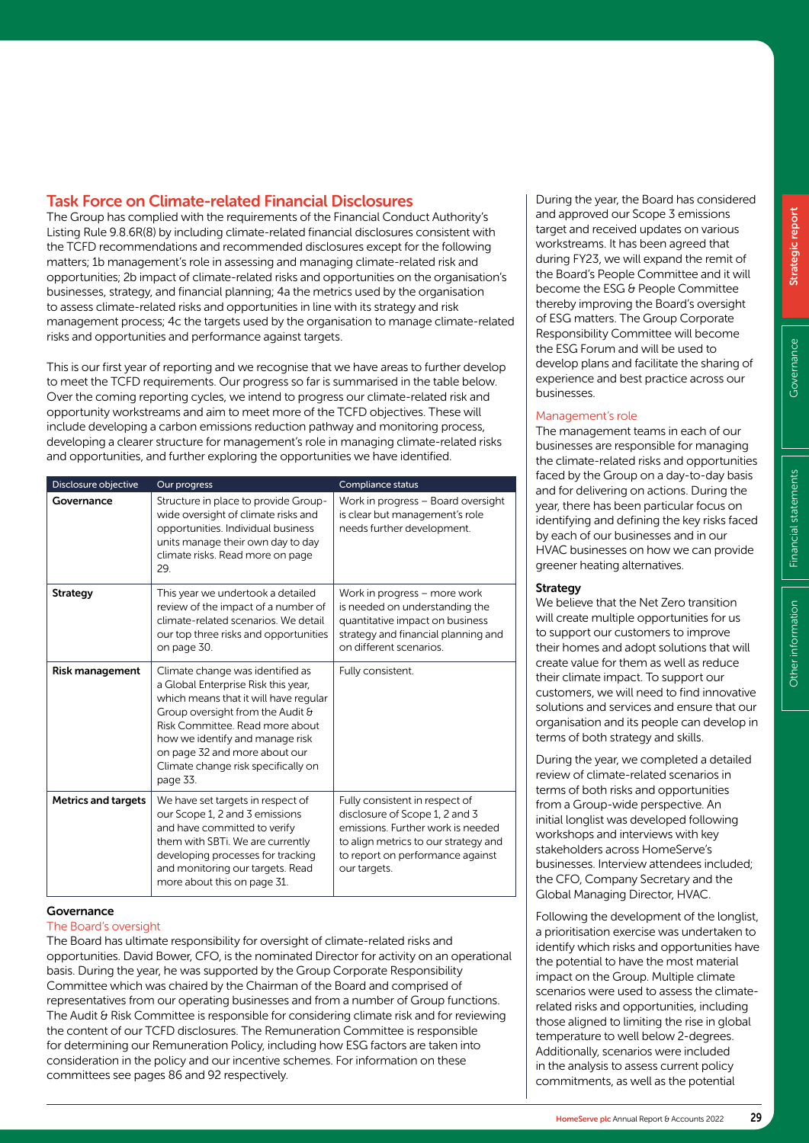# Task Force on Climate-related Financial Disclosures

The Group has complied with the requirements of the Financial Conduct Authority's Listing Rule 9.8.6R(8) by including climate-related financial disclosures consistent with the TCFD recommendations and recommended disclosures except for the following matters; 1b management's role in assessing and managing climate-related risk and opportunities; 2b impact of climate-related risks and opportunities on the organisation's businesses, strategy, and financial planning; 4a the metrics used by the organisation to assess climate-related risks and opportunities in line with its strategy and risk management process; 4c the targets used by the organisation to manage climate-related risks and opportunities and performance against targets.

This is our first year of reporting and we recognise that we have areas to further develop to meet the TCFD requirements. Our progress so far is summarised in the table below. Over the coming reporting cycles, we intend to progress our climate-related risk and opportunity workstreams and aim to meet more of the TCFD objectives. These will include developing a carbon emissions reduction pathway and monitoring process, developing a clearer structure for management's role in managing climate-related risks and opportunities, and further exploring the opportunities we have identified.

| Disclosure objective       | Our progress                                                                                                                                                                                                                                                                                                   | Compliance status                                                                                                                                                                                 |
|----------------------------|----------------------------------------------------------------------------------------------------------------------------------------------------------------------------------------------------------------------------------------------------------------------------------------------------------------|---------------------------------------------------------------------------------------------------------------------------------------------------------------------------------------------------|
| Governance                 | Structure in place to provide Group-<br>wide oversight of climate risks and<br>opportunities. Individual business<br>units manage their own day to day<br>climate risks. Read more on page<br>29.                                                                                                              | Work in progress - Board oversight<br>is clear but management's role<br>needs further development.                                                                                                |
| <b>Strategy</b>            | This year we undertook a detailed<br>review of the impact of a number of<br>climate-related scenarios. We detail<br>our top three risks and opportunities<br>on page 30.                                                                                                                                       | Work in progress - more work<br>is needed on understanding the<br>quantitative impact on business<br>strategy and financial planning and<br>on different scenarios.                               |
| <b>Risk management</b>     | Climate change was identified as<br>a Global Enterprise Risk this year,<br>which means that it will have regular<br>Group oversight from the Audit &<br>Risk Committee, Read more about<br>how we identify and manage risk<br>on page 32 and more about our<br>Climate change risk specifically on<br>page 33. | Fully consistent.                                                                                                                                                                                 |
| <b>Metrics and targets</b> | We have set targets in respect of<br>our Scope 1, 2 and 3 emissions<br>and have committed to verify<br>them with SBTi. We are currently<br>developing processes for tracking<br>and monitoring our targets. Read<br>more about this on page 31.                                                                | Fully consistent in respect of<br>disclosure of Scope 1, 2 and 3<br>emissions. Further work is needed<br>to align metrics to our strategy and<br>to report on performance against<br>our targets. |

#### Governance

#### The Board's oversight

The Board has ultimate responsibility for oversight of climate-related risks and opportunities. David Bower, CFO, is the nominated Director for activity on an operational basis. During the year, he was supported by the Group Corporate Responsibility Committee which was chaired by the Chairman of the Board and comprised of representatives from our operating businesses and from a number of Group functions. The Audit & Risk Committee is responsible for considering climate risk and for reviewing the content of our TCFD disclosures. The Remuneration Committee is responsible for determining our Remuneration Policy, including how ESG factors are taken into consideration in the policy and our incentive schemes. For information on these committees see pages 86 and 92 respectively.

During the year, the Board has considered and approved our Scope 3 emissions target and received updates on various workstreams. It has been agreed that during FY23, we will expand the remit of the Board's People Committee and it will become the ESG & People Committee thereby improving the Board's oversight of ESG matters. The Group Corporate Responsibility Committee will become the ESG Forum and will be used to develop plans and facilitate the sharing of experience and best practice across our businesses.

#### Management's role

The management teams in each of our businesses are responsible for managing the climate-related risks and opportunities faced by the Group on a day-to-day basis and for delivering on actions. During the year, there has been particular focus on identifying and defining the key risks faced by each of our businesses and in our HVAC businesses on how we can provide greener heating alternatives.

#### Strategy

We believe that the Net Zero transition will create multiple opportunities for us to support our customers to improve their homes and adopt solutions that will create value for them as well as reduce their climate impact. To support our customers, we will need to find innovative solutions and services and ensure that our organisation and its people can develop in terms of both strategy and skills.

During the year, we completed a detailed review of climate-related scenarios in terms of both risks and opportunities from a Group-wide perspective. An initial longlist was developed following workshops and interviews with key stakeholders across HomeServe's businesses. Interview attendees included; the CFO, Company Secretary and the Global Managing Director, HVAC.

Following the development of the longlist, a prioritisation exercise was undertaken to identify which risks and opportunities have the potential to have the most material impact on the Group. Multiple climate scenarios were used to assess the climaterelated risks and opportunities, including those aligned to limiting the rise in global temperature to well below 2-degrees. Additionally, scenarios were included in the analysis to assess current policy commitments, as well as the potential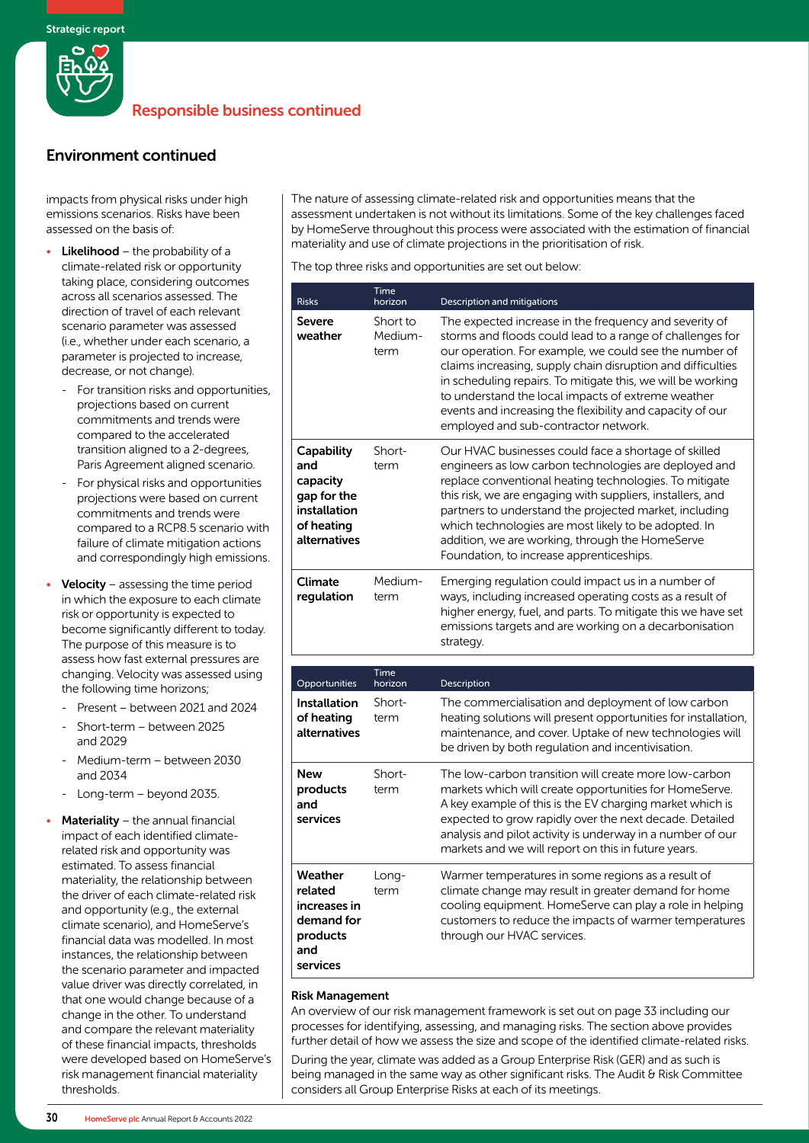

# Environment continued

impacts from physical risks under high emissions scenarios. Risks have been assessed on the basis of:

- **Likelihood** the probability of a climate-related risk or opportunity taking place, considering outcomes across all scenarios assessed. The direction of travel of each relevant scenario parameter was assessed (i.e., whether under each scenario, a parameter is projected to increase, decrease, or not change).
	- For transition risks and opportunities, projections based on current commitments and trends were compared to the accelerated transition aligned to a 2-degrees, Paris Agreement aligned scenario.
	- For physical risks and opportunities projections were based on current commitments and trends were compared to a RCP8.5 scenario with failure of climate mitigation actions and correspondingly high emissions.
- **Velocity** assessing the time period in which the exposure to each climate risk or opportunity is expected to become significantly different to today. The purpose of this measure is to assess how fast external pressures are changing. Velocity was assessed using the following time horizons;
	- Present between 2021 and 2024
	- Short-term between 2025 and 2029
	- Medium-term between 2030 and 2034
	- Long-term beyond 2035.
- **Materiality** the annual financial impact of each identified climaterelated risk and opportunity was estimated. To assess financial materiality, the relationship between the driver of each climate-related risk and opportunity (e.g., the external climate scenario), and HomeServe's financial data was modelled. In most instances, the relationship between the scenario parameter and impacted value driver was directly correlated, in that one would change because of a change in the other. To understand and compare the relevant materiality of these financial impacts, thresholds were developed based on HomeServe's risk management financial materiality thresholds.

The nature of assessing climate-related risk and opportunities means that the assessment undertaken is not without its limitations. Some of the key challenges faced by HomeServe throughout this process were associated with the estimation of financial materiality and use of climate projections in the prioritisation of risk.

The top three risks and opportunities are set out below:

| <b>Risks</b>                                                                               | Time<br>horizon             | Description and mitigations                                                                                                                                                                                                                                                                                                                                                                                                                                            |
|--------------------------------------------------------------------------------------------|-----------------------------|------------------------------------------------------------------------------------------------------------------------------------------------------------------------------------------------------------------------------------------------------------------------------------------------------------------------------------------------------------------------------------------------------------------------------------------------------------------------|
| Severe<br>weather                                                                          | Short to<br>Medium-<br>term | The expected increase in the frequency and severity of<br>storms and floods could lead to a range of challenges for<br>our operation. For example, we could see the number of<br>claims increasing, supply chain disruption and difficulties<br>in scheduling repairs. To mitigate this, we will be working<br>to understand the local impacts of extreme weather<br>events and increasing the flexibility and capacity of our<br>employed and sub-contractor network. |
| Capability<br>and<br>capacity<br>gap for the<br>installation<br>of heating<br>alternatives | Short-<br>term              | Our HVAC businesses could face a shortage of skilled<br>engineers as low carbon technologies are deployed and<br>replace conventional heating technologies. To mitigate<br>this risk, we are engaging with suppliers, installers, and<br>partners to understand the projected market, including<br>which technologies are most likely to be adopted. In<br>addition, we are working, through the HomeServe<br>Foundation, to increase apprenticeships.                 |
| <b>Climate</b><br>regulation                                                               | Medium-<br>term             | Emerging regulation could impact us in a number of<br>ways, including increased operating costs as a result of<br>higher energy, fuel, and parts. To mitigate this we have set<br>emissions targets and are working on a decarbonisation<br>strategy.                                                                                                                                                                                                                  |
|                                                                                            | Time                        |                                                                                                                                                                                                                                                                                                                                                                                                                                                                        |
| Opportunities<br><b>Installation</b><br>of heating<br>alternatives                         | horizon<br>Short-<br>term   | Description<br>The commercialisation and deployment of low carbon<br>heating solutions will present opportunities for installation,<br>maintenance, and cover. Uptake of new technologies will<br>be driven by both regulation and incentivisation.                                                                                                                                                                                                                    |
| <b>New</b><br>products<br>and<br>services                                                  | Short-<br>term              | The low-carbon transition will create more low-carbon<br>markets which will create opportunities for HomeServe.<br>A key example of this is the EV charging market which is<br>expected to grow rapidly over the next decade. Detailed<br>analysis and pilot activity is underway in a number of our<br>markets and we will report on this in future years.                                                                                                            |
| Weather<br>related<br>increases in<br>demand for<br>products<br>and<br>services            | Long-<br>term               | Warmer temperatures in some regions as a result of<br>climate change may result in greater demand for home<br>cooling equipment. HomeServe can play a role in helping<br>customers to reduce the impacts of warmer temperatures<br>through our HVAC services.                                                                                                                                                                                                          |

#### Risk Management

An overview of our risk management framework is set out on page 33 including our processes for identifying, assessing, and managing risks. The section above provides further detail of how we assess the size and scope of the identified climate-related risks.

During the year, climate was added as a Group Enterprise Risk (GER) and as such is being managed in the same way as other significant risks. The Audit & Risk Committee considers all Group Enterprise Risks at each of its meetings.